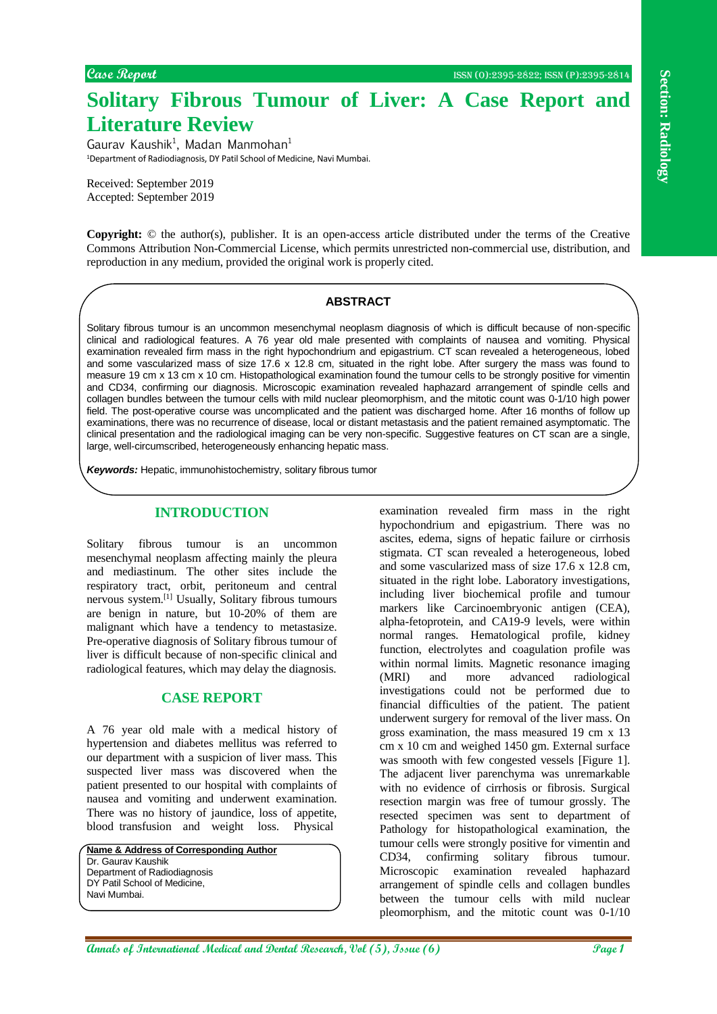**Solitary Fibrous Tumour of Liver: A Case Report and Literature Review**

Gaurav Kaushik<sup>1</sup>, Madan Manmohan<sup>1</sup> <sup>1</sup>Department of Radiodiagnosis, DY Patil School of Medicine, Navi Mumbai.

Received: September 2019 Accepted: September 2019

**Copyright:** © the author(s), publisher. It is an open-access article distributed under the terms of the Creative Commons Attribution Non-Commercial License, which permits unrestricted non-commercial use, distribution, and reproduction in any medium, provided the original work is properly cited.

#### **ABSTRACT**

Solitary fibrous tumour is an uncommon mesenchymal neoplasm diagnosis of which is difficult because of non-specific clinical and radiological features. A 76 year old male presented with complaints of nausea and vomiting. Physical examination revealed firm mass in the right hypochondrium and epigastrium. CT scan revealed a heterogeneous, lobed and some vascularized mass of size 17.6 x 12.8 cm, situated in the right lobe. After surgery the mass was found to measure 19 cm x 13 cm x 10 cm. Histopathological examination found the tumour cells to be strongly positive for vimentin and CD34, confirming our diagnosis. Microscopic examination revealed haphazard arrangement of spindle cells and collagen bundles between the tumour cells with mild nuclear pleomorphism, and the mitotic count was 0-1/10 high power field. The post-operative course was uncomplicated and the patient was discharged home. After 16 months of follow up examinations, there was no recurrence of disease, local or distant metastasis and the patient remained asymptomatic. The clinical presentation and the radiological imaging can be very non-specific. Suggestive features on CT scan are a single, large, well-circumscribed, heterogeneously enhancing hepatic mass.

*Keywords:* Hepatic, immunohistochemistry, solitary fibrous tumor

### **INTRODUCTION**

Solitary fibrous tumour is an uncommon mesenchymal neoplasm affecting mainly the pleura and mediastinum. The other sites include the respiratory tract, orbit, peritoneum and central nervous system.[1] Usually, Solitary fibrous tumours are benign in nature, but 10-20% of them are malignant which have a tendency to metastasize. Pre-operative diagnosis of Solitary fibrous tumour of liver is difficult because of non-specific clinical and radiological features, which may delay the diagnosis.

#### **CASE REPORT**

A 76 year old male with a medical history of hypertension and diabetes mellitus was referred to our department with a suspicion of liver mass. This suspected liver mass was discovered when the patient presented to our hospital with complaints of nausea and vomiting and underwent examination. There was no history of jaundice, loss of appetite, blood transfusion and weight loss. Physical

**Name & Address of Corresponding Author** Dr. Gaurav Kaushik Department of Radiodiagnosis DY Patil School of Medicine. Navi Mumbai.

**Annals of International Medical Annals of Calver, A Case Report and Engine Controlling and Case Report and Case Report and Case Report and Case Report and Case Report and Case Report and Case Report and Case Controlling** examination revealed firm mass in the right hypochondrium and epigastrium. There was no ascites, edema, signs of hepatic failure or cirrhosis stigmata. CT scan revealed a heterogeneous, lobed and some vascularized mass of size 17.6 x 12.8 cm, situated in the right lobe. Laboratory investigations, including liver biochemical profile and tumour markers like Carcinoembryonic antigen (CEA), alpha-fetoprotein, and CA19-9 levels, were within normal ranges. Hematological profile, kidney function, electrolytes and coagulation profile was within normal limits. Magnetic resonance imaging (MRI) and more advanced radiological investigations could not be performed due to financial difficulties of the patient. The patient underwent surgery for removal of the liver mass. On gross examination, the mass measured 19 cm x 13 cm x 10 cm and weighed 1450 gm. External surface was smooth with few congested vessels [Figure 1]. The adjacent liver parenchyma was unremarkable with no evidence of cirrhosis or fibrosis. Surgical resection margin was free of tumour grossly. The resected specimen was sent to department of Pathology for histopathological examination, the tumour cells were strongly positive for vimentin and CD34, confirming solitary fibrous tumour. Microscopic examination revealed haphazard arrangement of spindle cells and collagen bundles between the tumour cells with mild nuclear pleomorphism, and the mitotic count was 0-1/10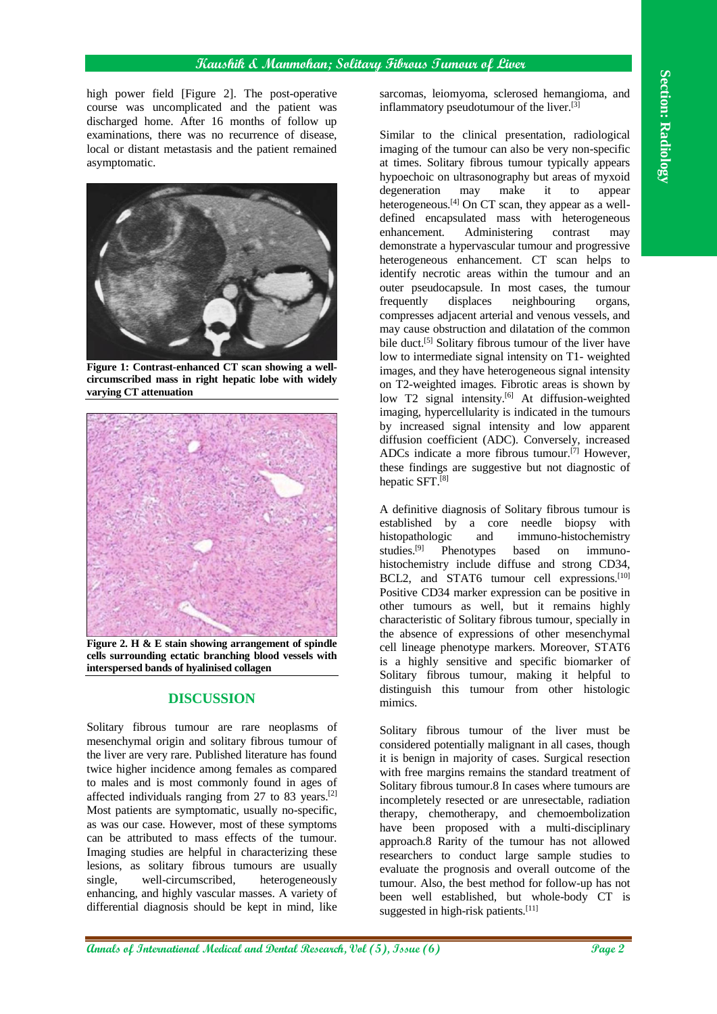high power field [Figure 2]. The post-operative course was uncomplicated and the patient was discharged home. After 16 months of follow up examinations, there was no recurrence of disease, local or distant metastasis and the patient remained asymptomatic.



**Figure 1: Contrast-enhanced CT scan showing a wellcircumscribed mass in right hepatic lobe with widely varying CT attenuation**



**Figure 2. H & E stain showing arrangement of spindle cells surrounding ectatic branching blood vessels with interspersed bands of hyalinised collagen**

# **DISCUSSION**

Solitary fibrous tumour are rare neoplasms of mesenchymal origin and solitary fibrous tumour of the liver are very rare. Published literature has found twice higher incidence among females as compared to males and is most commonly found in ages of affected individuals ranging from 27 to 83 years.[2] Most patients are symptomatic, usually no-specific, as was our case. However, most of these symptoms can be attributed to mass effects of the tumour. Imaging studies are helpful in characterizing these lesions, as solitary fibrous tumours are usually single, well-circumscribed, heterogeneously enhancing, and highly vascular masses. A variety of differential diagnosis should be kept in mind, like

sarcomas, leiomyoma, sclerosed hemangioma, and inflammatory pseudotumour of the liver.[3]

**Angle phone distribution and the international structure of the transfer of International Medical Annals of Control and Dental Research (Figure 2), Issue (Figure 2), Issue (Figure 2), Issue (Figure 2), Issue (Figure 2),** Similar to the clinical presentation, radiological imaging of the tumour can also be very non-specific at times. Solitary fibrous tumour typically appears hypoechoic on ultrasonography but areas of myxoid degeneration may make it to appear heterogeneous.<sup>[4]</sup> On CT scan, they appear as a welldefined encapsulated mass with heterogeneous enhancement. Administering contrast may demonstrate a hypervascular tumour and progressive heterogeneous enhancement. CT scan helps to identify necrotic areas within the tumour and an outer pseudocapsule. In most cases, the tumour frequently displaces neighbouring organs, compresses adjacent arterial and venous vessels, and may cause obstruction and dilatation of the common bile duct.<sup>[5]</sup> Solitary fibrous tumour of the liver have low to intermediate signal intensity on T1- weighted images, and they have heterogeneous signal intensity on T2-weighted images. Fibrotic areas is shown by low T2 signal intensity.<sup>[6]</sup> At diffusion-weighted imaging, hypercellularity is indicated in the tumours by increased signal intensity and low apparent diffusion coefficient (ADC). Conversely, increased ADCs indicate a more fibrous tumour.<sup>[7]</sup> However, these findings are suggestive but not diagnostic of hepatic SFT.[8]

A definitive diagnosis of Solitary fibrous tumour is established by a core needle biopsy with histopathologic and immuno-histochemistry<br>studies.<sup>[9]</sup> Phenotypes based on immuno-Phenotypes based on immunohistochemistry include diffuse and strong CD34, BCL2, and STAT6 tumour cell expressions.<sup>[10]</sup> Positive CD34 marker expression can be positive in other tumours as well, but it remains highly characteristic of Solitary fibrous tumour, specially in the absence of expressions of other mesenchymal cell lineage phenotype markers. Moreover, STAT6 is a highly sensitive and specific biomarker of Solitary fibrous tumour, making it helpful to distinguish this tumour from other histologic mimics.

Solitary fibrous tumour of the liver must be considered potentially malignant in all cases, though it is benign in majority of cases. Surgical resection with free margins remains the standard treatment of Solitary fibrous tumour.8 In cases where tumours are incompletely resected or are unresectable, radiation therapy, chemotherapy, and chemoembolization have been proposed with a multi-disciplinary approach.8 Rarity of the tumour has not allowed researchers to conduct large sample studies to evaluate the prognosis and overall outcome of the tumour. Also, the best method for follow-up has not been well established, but whole-body CT is suggested in high-risk patients.<sup>[11]</sup>